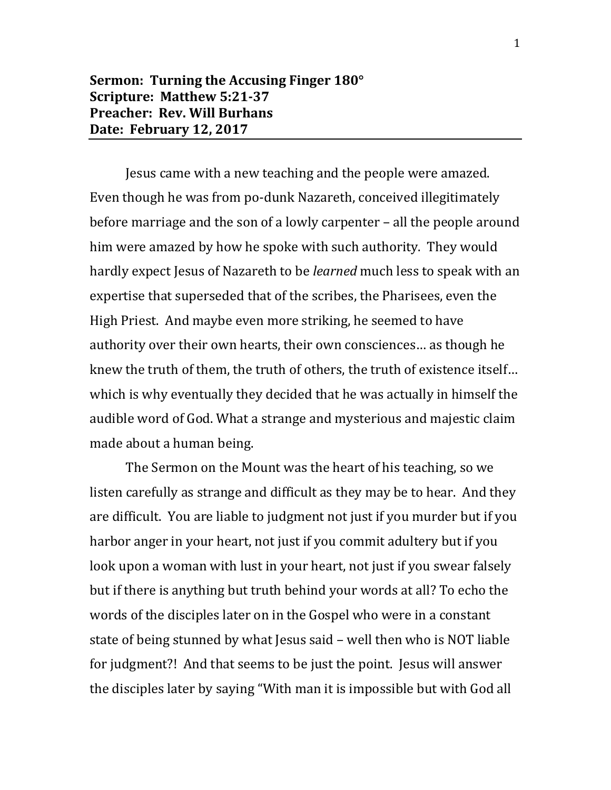## **Sermon: Turning the Accusing Finger 180° Scripture: Matthew 5:21-37 Preacher: Rev. Will Burhans Date: February 12, 2017**

Jesus came with a new teaching and the people were amazed. Even though he was from po-dunk Nazareth, conceived illegitimately before marriage and the son of a lowly carpenter – all the people around him were amazed by how he spoke with such authority. They would hardly expect Jesus of Nazareth to be *learned* much less to speak with an expertise that superseded that of the scribes, the Pharisees, even the High Priest. And maybe even more striking, he seemed to have authority over their own hearts, their own consciences… as though he knew the truth of them, the truth of others, the truth of existence itself… which is why eventually they decided that he was actually in himself the audible word of God. What a strange and mysterious and majestic claim made about a human being.

The Sermon on the Mount was the heart of his teaching, so we listen carefully as strange and difficult as they may be to hear. And they are difficult. You are liable to judgment not just if you murder but if you harbor anger in your heart, not just if you commit adultery but if you look upon a woman with lust in your heart, not just if you swear falsely but if there is anything but truth behind your words at all? To echo the words of the disciples later on in the Gospel who were in a constant state of being stunned by what Jesus said – well then who is NOT liable for judgment?! And that seems to be just the point. Jesus will answer the disciples later by saying "With man it is impossible but with God all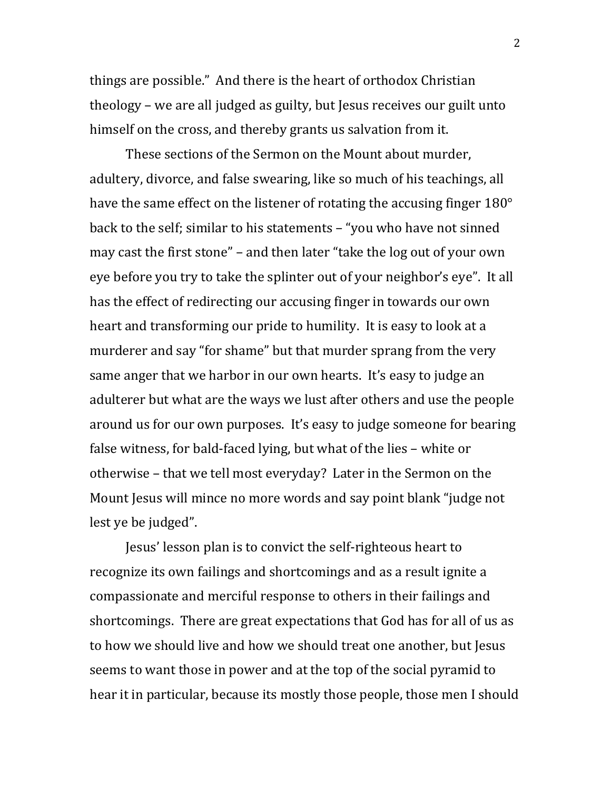things are possible." And there is the heart of orthodox Christian theology – we are all judged as guilty, but Jesus receives our guilt unto himself on the cross, and thereby grants us salvation from it.

These sections of the Sermon on the Mount about murder, adultery, divorce, and false swearing, like so much of his teachings, all have the same effect on the listener of rotating the accusing finger 180° back to the self; similar to his statements – "you who have not sinned may cast the first stone" – and then later "take the log out of your own eye before you try to take the splinter out of your neighbor's eye". It all has the effect of redirecting our accusing finger in towards our own heart and transforming our pride to humility. It is easy to look at a murderer and say "for shame" but that murder sprang from the very same anger that we harbor in our own hearts. It's easy to judge an adulterer but what are the ways we lust after others and use the people around us for our own purposes. It's easy to judge someone for bearing false witness, for bald-faced lying, but what of the lies – white or otherwise – that we tell most everyday? Later in the Sermon on the Mount Jesus will mince no more words and say point blank "judge not lest ye be judged".

Jesus' lesson plan is to convict the self-righteous heart to recognize its own failings and shortcomings and as a result ignite a compassionate and merciful response to others in their failings and shortcomings. There are great expectations that God has for all of us as to how we should live and how we should treat one another, but Jesus seems to want those in power and at the top of the social pyramid to hear it in particular, because its mostly those people, those men I should

2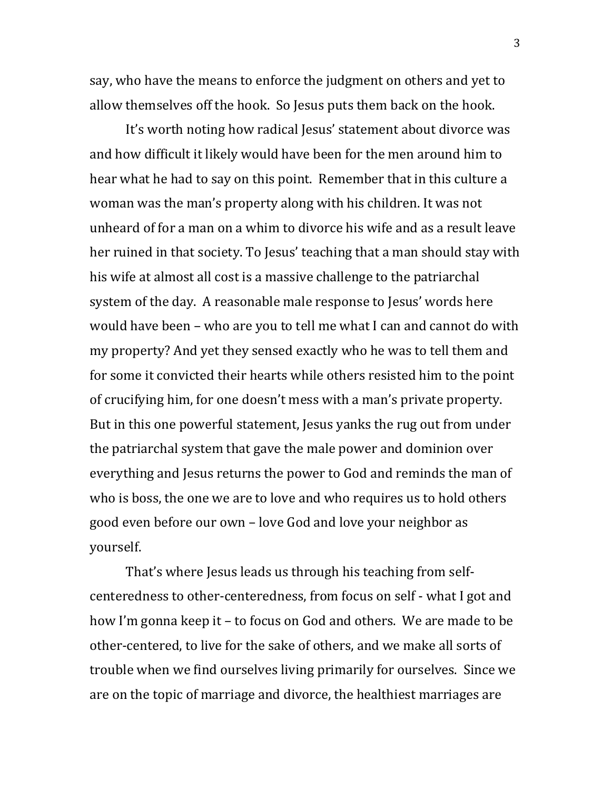say, who have the means to enforce the judgment on others and yet to allow themselves off the hook. So Jesus puts them back on the hook.

It's worth noting how radical Jesus' statement about divorce was and how difficult it likely would have been for the men around him to hear what he had to say on this point. Remember that in this culture a woman was the man's property along with his children. It was not unheard of for a man on a whim to divorce his wife and as a result leave her ruined in that society. To Jesus' teaching that a man should stay with his wife at almost all cost is a massive challenge to the patriarchal system of the day. A reasonable male response to Jesus' words here would have been – who are you to tell me what I can and cannot do with my property? And yet they sensed exactly who he was to tell them and for some it convicted their hearts while others resisted him to the point of crucifying him, for one doesn't mess with a man's private property. But in this one powerful statement, Jesus yanks the rug out from under the patriarchal system that gave the male power and dominion over everything and Jesus returns the power to God and reminds the man of who is boss, the one we are to love and who requires us to hold others good even before our own – love God and love your neighbor as yourself.

That's where Jesus leads us through his teaching from selfcenteredness to other-centeredness, from focus on self - what I got and how I'm gonna keep it – to focus on God and others. We are made to be other-centered, to live for the sake of others, and we make all sorts of trouble when we find ourselves living primarily for ourselves. Since we are on the topic of marriage and divorce, the healthiest marriages are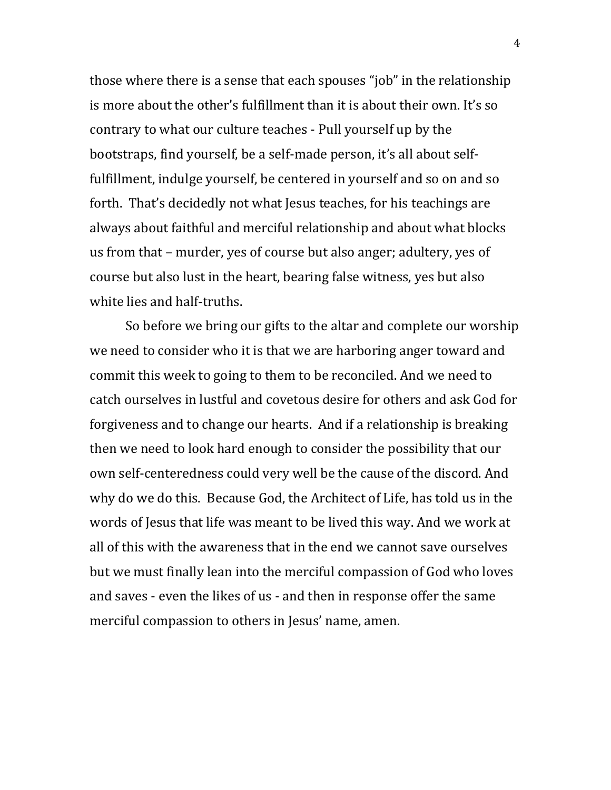those where there is a sense that each spouses "job" in the relationship is more about the other's fulfillment than it is about their own. It's so contrary to what our culture teaches - Pull yourself up by the bootstraps, find yourself, be a self-made person, it's all about selffulfillment, indulge yourself, be centered in yourself and so on and so forth. That's decidedly not what Jesus teaches, for his teachings are always about faithful and merciful relationship and about what blocks us from that – murder, yes of course but also anger; adultery, yes of course but also lust in the heart, bearing false witness, yes but also white lies and half-truths.

So before we bring our gifts to the altar and complete our worship we need to consider who it is that we are harboring anger toward and commit this week to going to them to be reconciled. And we need to catch ourselves in lustful and covetous desire for others and ask God for forgiveness and to change our hearts. And if a relationship is breaking then we need to look hard enough to consider the possibility that our own self-centeredness could very well be the cause of the discord. And why do we do this. Because God, the Architect of Life, has told us in the words of Jesus that life was meant to be lived this way. And we work at all of this with the awareness that in the end we cannot save ourselves but we must finally lean into the merciful compassion of God who loves and saves - even the likes of us - and then in response offer the same merciful compassion to others in Jesus' name, amen.